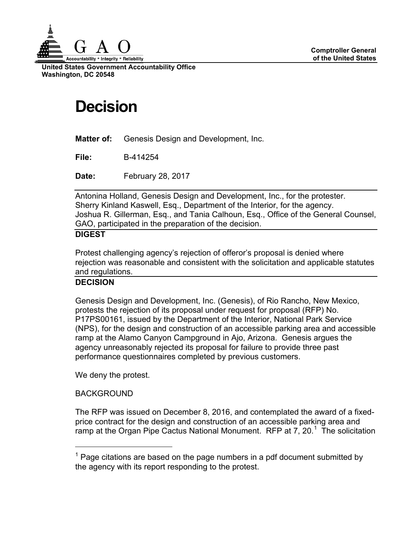

**United States Government Accountability Office Washington, DC 20548**

# **Decision**

**Matter of:** Genesis Design and Development, Inc.

**File:** B-414254

**Date:** February 28, 2017

Antonina Holland, Genesis Design and Development, Inc., for the protester. Sherry Kinland Kaswell, Esq., Department of the Interior, for the agency. Joshua R. Gillerman, Esq., and Tania Calhoun, Esq., Office of the General Counsel, GAO, participated in the preparation of the decision.

## **DIGEST**

Protest challenging agency's rejection of offeror's proposal is denied where rejection was reasonable and consistent with the solicitation and applicable statutes and regulations.

### **DECISION**

Genesis Design and Development, Inc. (Genesis), of Rio Rancho, New Mexico, protests the rejection of its proposal under request for proposal (RFP) No. P17PS00161, issued by the Department of the Interior, National Park Service (NPS), for the design and construction of an accessible parking area and accessible ramp at the Alamo Canyon Campground in Ajo, Arizona. Genesis argues the agency unreasonably rejected its proposal for failure to provide three past performance questionnaires completed by previous customers.

We deny the protest.

### **BACKGROUND**

The RFP was issued on December 8, 2016, and contemplated the award of a fixedprice contract for the design and construction of an accessible parking area and ramp at the Organ Pipe Cactus National Monument. RFP at 7, 20.<sup>[1](#page-0-0)</sup> The solicitation

<span id="page-0-0"></span> $1$  Page citations are based on the page numbers in a pdf document submitted by the agency with its report responding to the protest.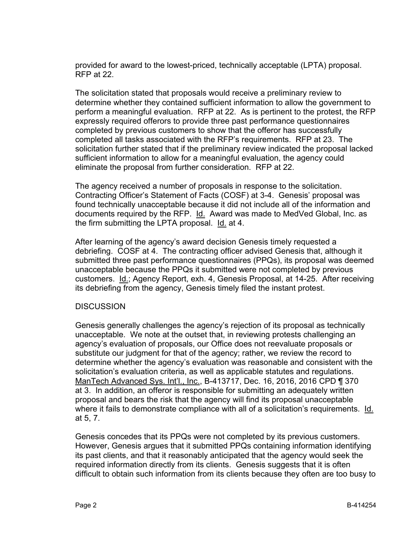provided for award to the lowest-priced, technically acceptable (LPTA) proposal. RFP at 22.

The solicitation stated that proposals would receive a preliminary review to determine whether they contained sufficient information to allow the government to perform a meaningful evaluation. RFP at 22. As is pertinent to the protest, the RFP expressly required offerors to provide three past performance questionnaires completed by previous customers to show that the offeror has successfully completed all tasks associated with the RFP's requirements. RFP at 23. The solicitation further stated that if the preliminary review indicated the proposal lacked sufficient information to allow for a meaningful evaluation, the agency could eliminate the proposal from further consideration. RFP at 22.

The agency received a number of proposals in response to the solicitation. Contracting Officer's Statement of Facts (COSF) at 3-4. Genesis' proposal was found technically unacceptable because it did not include all of the information and documents required by the RFP. Id. Award was made to MedVed Global, Inc. as the firm submitting the LPTA proposal. Id. at 4.

After learning of the agency's award decision Genesis timely requested a debriefing. COSF at 4. The contracting officer advised Genesis that, although it submitted three past performance questionnaires (PPQs), its proposal was deemed unacceptable because the PPQs it submitted were not completed by previous customers. Id.; Agency Report, exh. 4, Genesis Proposal, at 14-25. After receiving its debriefing from the agency, Genesis timely filed the instant protest.

#### **DISCUSSION**

Genesis generally challenges the agency's rejection of its proposal as technically unacceptable. We note at the outset that, in reviewing protests challenging an agency's evaluation of proposals, our Office does not reevaluate proposals or substitute our judgment for that of the agency; rather, we review the record to determine whether the agency's evaluation was reasonable and consistent with the solicitation's evaluation criteria, as well as applicable statutes and regulations. ManTech Advanced Sys. Int'l., Inc., B-413717, Dec. 16, 2016, 2016 CPD ¶ 370 at 3. In addition, an offeror is responsible for submitting an adequately written proposal and bears the risk that the agency will find its proposal unacceptable where it fails to demonstrate compliance with all of a solicitation's requirements. Id. at 5, 7.

Genesis concedes that its PPQs were not completed by its previous customers. However, Genesis argues that it submitted PPQs containing information identifying its past clients, and that it reasonably anticipated that the agency would seek the required information directly from its clients. Genesis suggests that it is often difficult to obtain such information from its clients because they often are too busy to